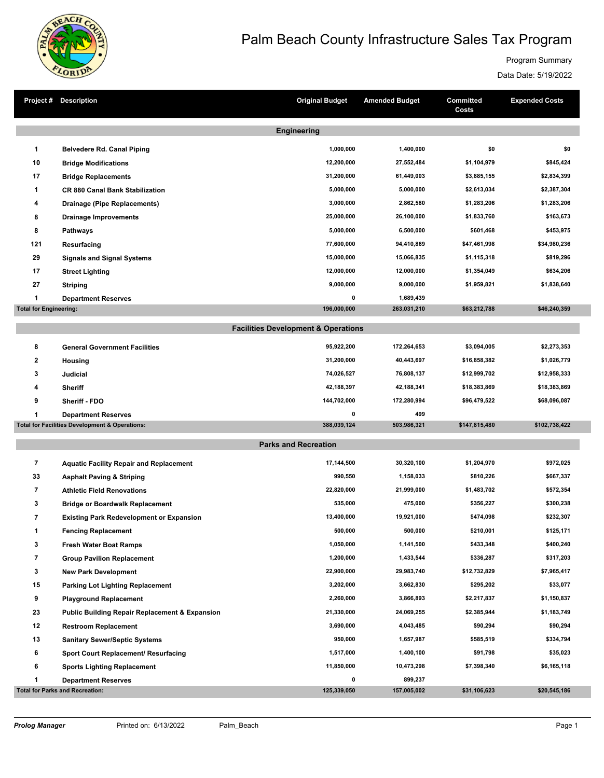

## Palm Beach County Infrastructure Sales Tax Program

Program Summary

Data Date: 5/19/2022

| Project#                      | <b>Description</b>                                        | <b>Original Budget</b>                         | <b>Amended Budget</b>    | <b>Committed</b><br>Costs  | <b>Expended Costs</b>      |  |  |  |  |
|-------------------------------|-----------------------------------------------------------|------------------------------------------------|--------------------------|----------------------------|----------------------------|--|--|--|--|
| <b>Engineering</b>            |                                                           |                                                |                          |                            |                            |  |  |  |  |
|                               |                                                           |                                                |                          | \$0                        | \$0                        |  |  |  |  |
| 1                             | <b>Belvedere Rd. Canal Piping</b>                         | 1,000,000                                      | 1,400,000                |                            |                            |  |  |  |  |
| 10                            | <b>Bridge Modifications</b>                               | 12,200,000                                     | 27,552,484               | \$1,104,979                | \$845,424                  |  |  |  |  |
| 17                            | <b>Bridge Replacements</b>                                | 31,200,000<br>5,000,000                        | 61,449,003<br>5,000,000  | \$3,885,155                | \$2,834,399<br>\$2,387,304 |  |  |  |  |
| 1                             | <b>CR 880 Canal Bank Stabilization</b>                    | 3,000,000                                      | 2,862,580                | \$2,613,034                |                            |  |  |  |  |
| 4                             | Drainage (Pipe Replacements)                              | 25,000,000                                     | 26,100,000               | \$1,283,206<br>\$1,833,760 | \$1,283,206<br>\$163,673   |  |  |  |  |
| 8                             | <b>Drainage Improvements</b>                              | 5,000,000                                      | 6,500,000                | \$601,468                  | \$453,975                  |  |  |  |  |
| 8                             | <b>Pathways</b>                                           |                                                |                          |                            |                            |  |  |  |  |
| 121                           | Resurfacing                                               | 77,600,000                                     | 94,410,869               | \$47,461,998               | \$34,980,236               |  |  |  |  |
| 29                            | <b>Signals and Signal Systems</b>                         | 15,000,000                                     | 15,066,835               | \$1,115,318                | \$819,296                  |  |  |  |  |
| 17                            | <b>Street Lighting</b>                                    | 12,000,000                                     | 12,000,000               | \$1,354,049                | \$634,206                  |  |  |  |  |
| 27                            | <b>Striping</b>                                           | 9,000,000                                      | 9,000,000                | \$1,959,821                | \$1,838,640                |  |  |  |  |
| 1                             | <b>Department Reserves</b>                                | $\pmb{0}$<br>196,000,000                       | 1,689,439<br>263,031,210 | \$63,212,788               | \$46,240,359               |  |  |  |  |
| <b>Total for Engineering:</b> |                                                           |                                                |                          |                            |                            |  |  |  |  |
|                               |                                                           | <b>Facilities Development &amp; Operations</b> |                          |                            |                            |  |  |  |  |
| 8                             | <b>General Government Facilities</b>                      | 95,922,200                                     | 172,264,653              | \$3,094,005                | \$2,273,353                |  |  |  |  |
| 2                             | <b>Housing</b>                                            | 31,200,000                                     | 40,443,697               | \$16,858,382               | \$1,026,779                |  |  |  |  |
| 3                             | Judicial                                                  | 74,026,527                                     | 76,808,137               | \$12,999,702               | \$12,958,333               |  |  |  |  |
| 4                             | <b>Sheriff</b>                                            | 42,188,397                                     | 42,188,341               | \$18,383,869               | \$18,383,869               |  |  |  |  |
| 9                             | Sheriff - FDO                                             | 144,702,000                                    | 172,280,994              | \$96,479,522               | \$68,096,087               |  |  |  |  |
| 1                             | <b>Department Reserves</b>                                | $\pmb{0}$                                      | 499                      |                            |                            |  |  |  |  |
|                               | <b>Total for Facilities Development &amp; Operations:</b> | 388,039,124                                    | 503,986,321              | \$147,815,480              | \$102,738,422              |  |  |  |  |
|                               |                                                           | <b>Parks and Recreation</b>                    |                          |                            |                            |  |  |  |  |
|                               |                                                           |                                                |                          |                            |                            |  |  |  |  |
| $\overline{\phantom{a}}$      | <b>Aquatic Facility Repair and Replacement</b>            | 17,144,500                                     | 30,320,100               | \$1,204,970                | \$972,025                  |  |  |  |  |
| 33                            | <b>Asphalt Paving &amp; Striping</b>                      | 990,550                                        | 1,158,033                | \$810,226                  | \$667,337                  |  |  |  |  |
| 7                             | <b>Athletic Field Renovations</b>                         | 22,820,000                                     | 21,999,000               | \$1,483,702                | \$572,354                  |  |  |  |  |
| 3                             | <b>Bridge or Boardwalk Replacement</b>                    | 535,000                                        | 475,000                  | \$356,227                  | \$300,238                  |  |  |  |  |
| 7                             | <b>Existing Park Redevelopment or Expansion</b>           | 13,400,000                                     | 19,921,000               | \$474,098                  | \$232,307                  |  |  |  |  |
| 1                             | <b>Fencing Replacement</b>                                | 500,000                                        | 500,000                  | \$210,001                  | \$125,171                  |  |  |  |  |
| 3                             | <b>Fresh Water Boat Ramps</b>                             | 1,050,000                                      | 1,141,500                | \$433,348                  | \$400,240                  |  |  |  |  |
| 7                             | <b>Group Pavilion Replacement</b>                         | 1,200,000                                      | 1,433,544                | \$336,287                  | \$317,203                  |  |  |  |  |
| 3                             | <b>New Park Development</b>                               | 22,900,000                                     | 29,983,740               | \$12,732,829               | \$7,965,417                |  |  |  |  |
| 15                            | <b>Parking Lot Lighting Replacement</b>                   | 3,202,000                                      | 3,662,830                | \$295,202                  | \$33,077                   |  |  |  |  |
| 9                             | <b>Playground Replacement</b>                             | 2,260,000                                      | 3,866,893                | \$2,217,837                | \$1,150,837                |  |  |  |  |
| 23                            | <b>Public Building Repair Replacement &amp; Expansion</b> | 21,330,000                                     | 24,069,255               | \$2,385,944                | \$1,183,749                |  |  |  |  |
| 12                            | <b>Restroom Replacement</b>                               | 3,690,000                                      | 4,043,485                | \$90,294                   | \$90,294                   |  |  |  |  |
| 13                            | <b>Sanitary Sewer/Septic Systems</b>                      | 950,000                                        | 1,657,987                | \$585,519                  | \$334,794                  |  |  |  |  |
| 6                             | Sport Court Replacement/ Resurfacing                      | 1,517,000                                      | 1,400,100                | \$91,798                   | \$35,023                   |  |  |  |  |
| 6                             | <b>Sports Lighting Replacement</b>                        | 11,850,000                                     | 10,473,298               | \$7,398,340                | \$6,165,118                |  |  |  |  |
| 1                             | <b>Department Reserves</b>                                | $\pmb{0}$                                      | 899,237                  |                            |                            |  |  |  |  |
|                               | <b>Total for Parks and Recreation:</b>                    | 125,339,050                                    | 157,005,002              | \$31,106,623               | \$20,545,186               |  |  |  |  |